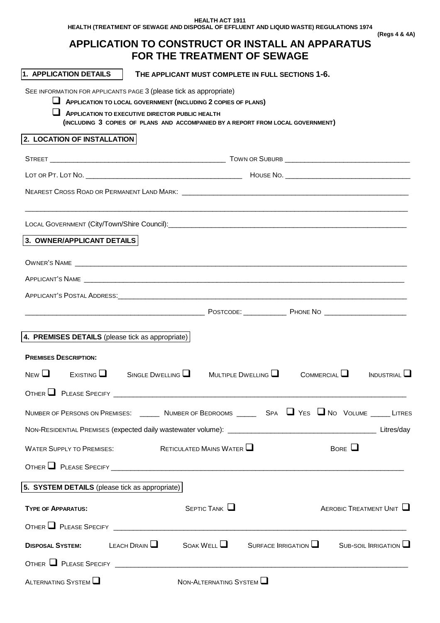**HEALTH ACT 1911 HEALTH (TREATMENT OF SEWAGE AND DISPOSAL OF EFFLUENT AND LIQUID WASTE) REGULATIONS 1974 (Regs 4 & 4A)** 

# **APPLICATION TO CONSTRUCT OR INSTALL AN APPARATUS FOR THE TREATMENT OF SEWAGE**

| 1. APPLICATION DETAILS                                                                                                                                                                                                               |                                                                                                                                    | THE APPLICANT MUST COMPLETE IN FULL SECTIONS 1-6. |                                                         |                        |
|--------------------------------------------------------------------------------------------------------------------------------------------------------------------------------------------------------------------------------------|------------------------------------------------------------------------------------------------------------------------------------|---------------------------------------------------|---------------------------------------------------------|------------------------|
| SEE INFORMATION FOR APPLICANTS PAGE 3 (please tick as appropriate)                                                                                                                                                                   | APPLICATION TO LOCAL GOVERNMENT (INCLUDING 2 COPIES OF PLANS)                                                                      |                                                   |                                                         |                        |
|                                                                                                                                                                                                                                      | APPLICATION TO EXECUTIVE DIRECTOR PUBLIC HEALTH<br>(INCLUDING 3 COPIES OF PLANS AND ACCOMPANIED BY A REPORT FROM LOCAL GOVERNMENT) |                                                   |                                                         |                        |
| 2. LOCATION OF INSTALLATION                                                                                                                                                                                                          |                                                                                                                                    |                                                   |                                                         |                        |
|                                                                                                                                                                                                                                      |                                                                                                                                    |                                                   |                                                         |                        |
|                                                                                                                                                                                                                                      |                                                                                                                                    |                                                   |                                                         |                        |
| NEAREST CROSS ROAD OR PERMANENT LAND MARK: \\contract \\contract \\contract \\contract \\contract \\contract \\contract \\contract \\contract \\contract \\contract \\contract \\contract \\contract \\contract \\contract \\c       |                                                                                                                                    |                                                   |                                                         |                        |
|                                                                                                                                                                                                                                      |                                                                                                                                    |                                                   |                                                         |                        |
| 3. OWNER/APPLICANT DETAILS                                                                                                                                                                                                           |                                                                                                                                    |                                                   |                                                         |                        |
|                                                                                                                                                                                                                                      |                                                                                                                                    |                                                   |                                                         |                        |
|                                                                                                                                                                                                                                      |                                                                                                                                    |                                                   |                                                         |                        |
|                                                                                                                                                                                                                                      |                                                                                                                                    |                                                   |                                                         |                        |
|                                                                                                                                                                                                                                      |                                                                                                                                    |                                                   |                                                         |                        |
| 4. PREMISES DETAILS (please tick as appropriate)                                                                                                                                                                                     |                                                                                                                                    |                                                   |                                                         |                        |
|                                                                                                                                                                                                                                      |                                                                                                                                    |                                                   |                                                         |                        |
| <b>PREMISES DESCRIPTION:</b>                                                                                                                                                                                                         |                                                                                                                                    |                                                   |                                                         |                        |
| $N_{\text{EW}}\square$                                                                                                                                                                                                               | $Existing$ Single Dwelling $\Box$ Multiple Dwelling $\Box$                                                                         |                                                   | COMMERCIAL                                              | INDUSTRIAL             |
| OTHER PLEASE SPECIFY                                                                                                                                                                                                                 |                                                                                                                                    |                                                   |                                                         |                        |
| NUMBER OF PERSONS ON PREMISES: ______ NUMBER OF BEDROOMS _____ SPA U YES U NO VOLUME _____ LITRES                                                                                                                                    |                                                                                                                                    |                                                   |                                                         |                        |
|                                                                                                                                                                                                                                      |                                                                                                                                    |                                                   |                                                         |                        |
| RETICULATED MAINS WATER $\Box$<br>BORE $\Box$<br><b>WATER SUPPLY TO PREMISES:</b>                                                                                                                                                    |                                                                                                                                    |                                                   |                                                         |                        |
|                                                                                                                                                                                                                                      |                                                                                                                                    |                                                   |                                                         |                        |
| 5. SYSTEM DETAILS (please tick as appropriate)                                                                                                                                                                                       |                                                                                                                                    |                                                   |                                                         |                        |
| <b>TYPE OF APPARATUS:</b>                                                                                                                                                                                                            |                                                                                                                                    | $S$ EPTIC TANK $\Box$                             |                                                         | AEROBIC TREATMENT UNIT |
|                                                                                                                                                                                                                                      |                                                                                                                                    |                                                   |                                                         |                        |
| <b>DISPOSAL SYSTEM:</b>                                                                                                                                                                                                              | LEACH DRAIN $\Box$                                                                                                                 | SOAK WELL $\Box$                                  | $S$ URFACE IRRIGATION $\Box$ SUB-SOIL IRRIGATION $\Box$ |                        |
| OTHER PLEASE SPECIFY <b>And Accept and Accept and Accept and Accept and Accept and Accept and Accept and Accept and Accept and Accept and Accept and Accept and Accept and Accept and Accept and Accept and Accept and Accept an</b> |                                                                                                                                    |                                                   |                                                         |                        |
| ALTERNATING SYSTEM                                                                                                                                                                                                                   |                                                                                                                                    | NON-ALTERNATING SYSTEM                            |                                                         |                        |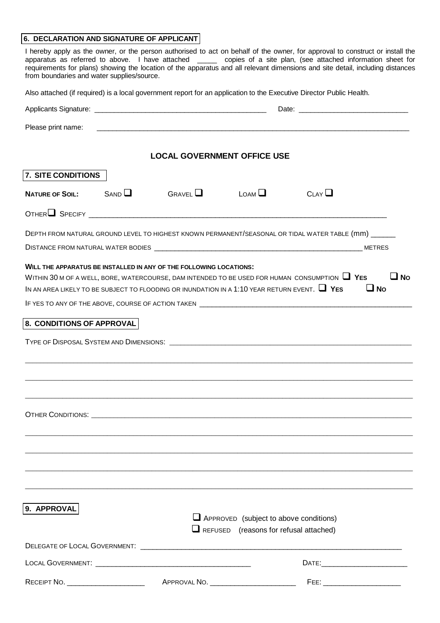### **6. DECLARATION AND SIGNATURE OF APPLICANT**

I hereby apply as the owner, or the person authorised to act on behalf of the owner, for approval to construct or install the apparatus as referred to above. I have attached \_\_\_\_\_ copies of a site plan, (see attached information sheet for requirements for plans) showing the location of the apparatus and all relevant dimensions and site detail, including distances from boundaries and water supplies/source.

Also attached (if required) is a local government report for an application to the Executive Director Public Health.

| Please print name:          |                                                                                                                                                                                                                                                                               |                                                                                                |      |                        |
|-----------------------------|-------------------------------------------------------------------------------------------------------------------------------------------------------------------------------------------------------------------------------------------------------------------------------|------------------------------------------------------------------------------------------------|------|------------------------|
|                             | <b>LOCAL GOVERNMENT OFFICE USE</b>                                                                                                                                                                                                                                            |                                                                                                |      |                        |
| 7. SITE CONDITIONS          |                                                                                                                                                                                                                                                                               |                                                                                                |      |                        |
| NATURE OF SOIL: $SAND \Box$ | $G$ RAVFI $\Box$                                                                                                                                                                                                                                                              | $L$ OAM $\Box$                                                                                 | CLAY |                        |
|                             |                                                                                                                                                                                                                                                                               |                                                                                                |      |                        |
|                             | DEPTH FROM NATURAL GROUND LEVEL TO HIGHEST KNOWN PERMANENT/SEASONAL OR TIDAL WATER TABLE (MM) ______                                                                                                                                                                          |                                                                                                |      |                        |
|                             | WILL THE APPARATUS BE INSTALLED IN ANY OF THE FOLLOWING LOCATIONS:<br>WITHIN 30 M OF A WELL, BORE, WATERCOURSE, DAM INTENDED TO BE USED FOR HUMAN CONSUMPTION $\Box$ YES<br>IN AN AREA LIKELY TO BE SUBJECT TO FLOODING OR INUNDATION IN A 1:10 YEAR RETURN EVENT. $\Box$ YES |                                                                                                |      | $\Box$ No<br>$\Box$ No |
|                             |                                                                                                                                                                                                                                                                               |                                                                                                |      |                        |
| 8. CONDITIONS OF APPROVAL   |                                                                                                                                                                                                                                                                               |                                                                                                |      |                        |
|                             |                                                                                                                                                                                                                                                                               |                                                                                                |      |                        |
|                             |                                                                                                                                                                                                                                                                               |                                                                                                |      |                        |
|                             |                                                                                                                                                                                                                                                                               |                                                                                                |      |                        |
|                             |                                                                                                                                                                                                                                                                               |                                                                                                |      |                        |
|                             |                                                                                                                                                                                                                                                                               |                                                                                                |      |                        |
|                             |                                                                                                                                                                                                                                                                               |                                                                                                |      |                        |
|                             |                                                                                                                                                                                                                                                                               |                                                                                                |      |                        |
|                             |                                                                                                                                                                                                                                                                               |                                                                                                |      |                        |
|                             |                                                                                                                                                                                                                                                                               |                                                                                                |      |                        |
|                             |                                                                                                                                                                                                                                                                               |                                                                                                |      |                        |
| 9. APPROVAL                 |                                                                                                                                                                                                                                                                               |                                                                                                |      |                        |
|                             |                                                                                                                                                                                                                                                                               | $\Box$ APPROVED (subject to above conditions)<br>$\Box$ REFUSED (reasons for refusal attached) |      |                        |
|                             |                                                                                                                                                                                                                                                                               |                                                                                                |      |                        |
|                             |                                                                                                                                                                                                                                                                               |                                                                                                |      |                        |
|                             |                                                                                                                                                                                                                                                                               | APPROVAL NO. _________________________                                                         |      |                        |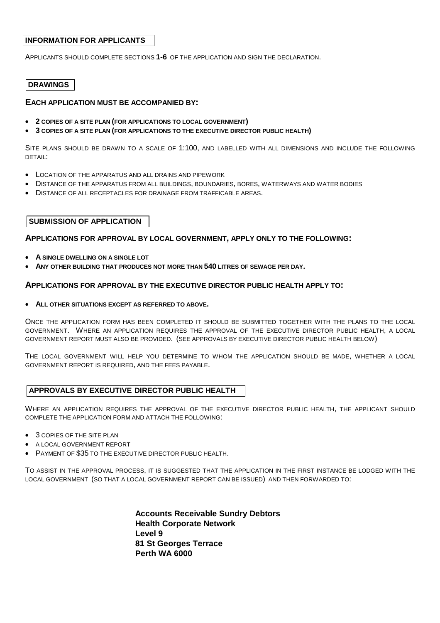### **INFORMATION FOR APPLICANTS**

APPLICANTS SHOULD COMPLETE SECTIONS **1-6** OF THE APPLICATION AND SIGN THE DECLARATION.

### **DRAWINGS**

### **EACH APPLICATION MUST BE ACCOMPANIED BY:**

- **2 COPIES OF A SITE PLAN (FOR APPLICATIONS TO LOCAL GOVERNMENT)**
- **3 COPIES OF A SITE PLAN (FOR APPLICATIONS TO THE EXECUTIVE DIRECTOR PUBLIC HEALTH)**

SITE PLANS SHOULD BE DRAWN TO A SCALE OF 1:100, AND LABELLED WITH ALL DIMENSIONS AND INCLUDE THE FOLLOWING DETAIL:

- LOCATION OF THE APPARATUS AND ALL DRAINS AND PIPEWORK
- DISTANCE OF THE APPARATUS FROM ALL BUILDINGS, BOUNDARIES, BORES, WATERWAYS AND WATER BODIES
- DISTANCE OF ALL RECEPTACLES FOR DRAINAGE FROM TRAFFICABLE AREAS.

### **SUBMISSION OF APPLICATION**

#### **APPLICATIONS FOR APPROVAL BY LOCAL GOVERNMENT, APPLY ONLY TO THE FOLLOWING:**

- **A SINGLE DWELLING ON A SINGLE LOT**
- **ANY OTHER BUILDING THAT PRODUCES NOT MORE THAN 540 LITRES OF SEWAGE PER DAY.**

#### **APPLICATIONS FOR APPROVAL BY THE EXECUTIVE DIRECTOR PUBLIC HEALTH APPLY TO:**

• **ALL OTHER SITUATIONS EXCEPT AS REFERRED TO ABOVE.** 

ONCE THE APPLICATION FORM HAS BEEN COMPLETED IT SHOULD BE SUBMITTED TOGETHER WITH THE PLANS TO THE LOCAL GOVERNMENT. WHERE AN APPLICATION REQUIRES THE APPROVAL OF THE EXECUTIVE DIRECTOR PUBLIC HEALTH, A LOCAL GOVERNMENT REPORT MUST ALSO BE PROVIDED. (SEE APPROVALS BY EXECUTIVE DIRECTOR PUBLIC HEALTH BELOW)

THE LOCAL GOVERNMENT WILL HELP YOU DETERMINE TO WHOM THE APPLICATION SHOULD BE MADE, WHETHER A LOCAL GOVERNMENT REPORT IS REQUIRED, AND THE FEES PAYABLE.

#### **APPROVALS BY EXECUTIVE DIRECTOR PUBLIC HEALTH**

WHERE AN APPLICATION REQUIRES THE APPROVAL OF THE EXECUTIVE DIRECTOR PUBLIC HEALTH, THE APPLICANT SHOULD COMPLETE THE APPLICATION FORM AND ATTACH THE FOLLOWING:

- 3 COPIES OF THE SITE PLAN
- A LOCAL GOVERNMENT REPORT
- PAYMENT OF \$35 TO THE EXECUTIVE DIRECTOR PUBLIC HEALTH.

TO ASSIST IN THE APPROVAL PROCESS, IT IS SUGGESTED THAT THE APPLICATION IN THE FIRST INSTANCE BE LODGED WITH THE LOCAL GOVERNMENT (SO THAT A LOCAL GOVERNMENT REPORT CAN BE ISSUED) AND THEN FORWARDED TO:

> **Accounts Receivable Sundry Debtors Health Corporate Network Level 9 81 St Georges Terrace Perth WA 6000**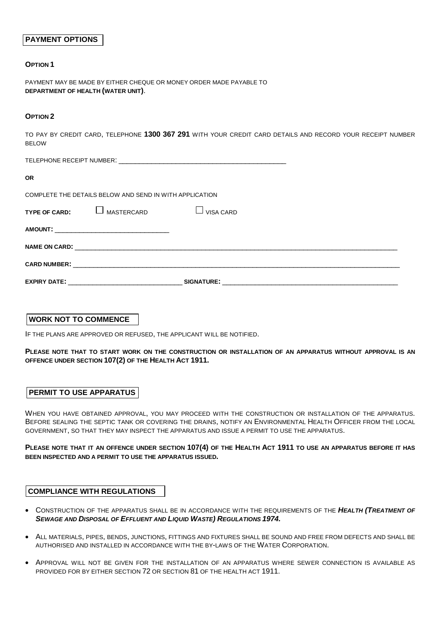### **PAYMENT OPTIONS**

#### **OPTION 1**

PAYMENT MAY BE MADE BY EITHER CHEQUE OR MONEY ORDER MADE PAYABLE TO **DEPARTMENT OF HEALTH (WATER UNIT)**.

#### **OPTION 2**

TO PAY BY CREDIT CARD, TELEPHONE **1300 367 291** WITH YOUR CREDIT CARD DETAILS AND RECORD YOUR RECEIPT NUMBER BELOW

TELEPHONE RECEIPT NUMBER:

| <b>OR</b>     |                                                         |                   |
|---------------|---------------------------------------------------------|-------------------|
|               | COMPLETE THE DETAILS BELOW AND SEND IN WITH APPLICATION |                   |
| TYPE OF CARD: | MASTERCARD                                              | VISA CARD         |
|               |                                                         |                   |
|               |                                                         |                   |
|               |                                                         |                   |
|               |                                                         | <b>SIGNATURE:</b> |

### **WORK NOT TO COMMENCE**

IF THE PLANS ARE APPROVED OR REFUSED, THE APPLICANT WILL BE NOTIFIED.

**PLEASE NOTE THAT TO START WORK ON THE CONSTRUCTION OR INSTALLATION OF AN APPARATUS WITHOUT APPROVAL IS AN OFFENCE UNDER SECTION 107(2) OF THE HEALTH ACT 1911.** 

### **PERMIT TO USE APPARATUS**

WHEN YOU HAVE OBTAINED APPROVAL, YOU MAY PROCEED WITH THE CONSTRUCTION OR INSTALLATION OF THE APPARATUS. BEFORE SEALING THE SEPTIC TANK OR COVERING THE DRAINS, NOTIFY AN ENVIRONMENTAL HEALTH OFFICER FROM THE LOCAL GOVERNMENT, SO THAT THEY MAY INSPECT THE APPARATUS AND ISSUE A PERMIT TO USE THE APPARATUS.

**PLEASE NOTE THAT IT AN OFFENCE UNDER SECTION 107(4) OF THE HEALTH ACT 1911 TO USE AN APPARATUS BEFORE IT HAS BEEN INSPECTED AND A PERMIT TO USE THE APPARATUS ISSUED.** 

### **COMPLIANCE WITH REGULATIONS**

- CONSTRUCTION OF THE APPARATUS SHALL BE IN ACCORDANCE WITH THE REQUIREMENTS OF THE **HEALTH (TREATMENT OF SEWAGE AND DISPOSAL OF EFFLUENT AND LIQUID WASTE) REGULATIONS 1974.**
- ALL MATERIALS, PIPES, BENDS, JUNCTIONS, FITTINGS AND FIXTURES SHALL BE SOUND AND FREE FROM DEFECTS AND SHALL BE AUTHORISED AND INSTALLED IN ACCORDANCE WITH THE BY-LAWS OF THE WATER CORPORATION.
- APPROVAL WILL NOT BE GIVEN FOR THE INSTALLATION OF AN APPARATUS WHERE SEWER CONNECTION IS AVAILABLE AS PROVIDED FOR BY EITHER SECTION 72 OR SECTION 81 OF THE HEALTH ACT 1911.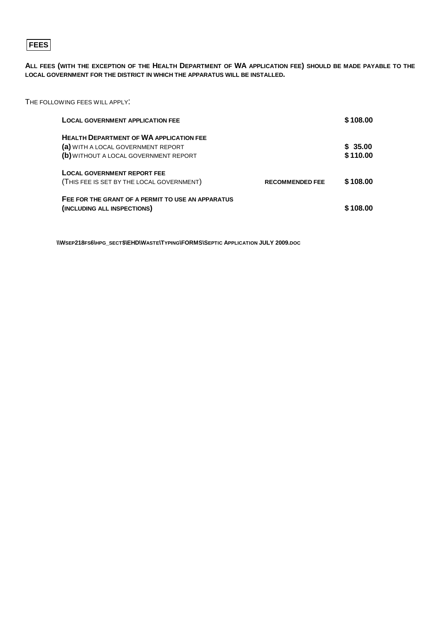## **FEES**

**ALL FEES (WITH THE EXCEPTION OF THE HEALTH DEPARTMENT OF WA APPLICATION FEE) SHOULD BE MADE PAYABLE TO THE LOCAL GOVERNMENT FOR THE DISTRICT IN WHICH THE APPARATUS WILL BE INSTALLED.** 

THE FOLLOWING FEES WILL APPLY:

| <b>LOCAL GOVERNMENT APPLICATION FEE</b>                                                                                       |                        | \$108.00            |
|-------------------------------------------------------------------------------------------------------------------------------|------------------------|---------------------|
| <b>HEALTH DEPARTMENT OF WA APPLICATION FEE</b><br>(a) WITH A LOCAL GOVERNMENT REPORT<br>(b) WITHOUT A LOCAL GOVERNMENT REPORT |                        | \$35.00<br>\$110.00 |
| <b>LOCAL GOVERNMENT REPORT FEE</b><br>(THIS FEE IS SET BY THE LOCAL GOVERNMENT)                                               | <b>RECOMMENDED FEE</b> | \$108.00            |
| FEE FOR THE GRANT OF A PERMIT TO USE AN APPARATUS<br>(INCLUDING ALL INSPECTIONS)                                              |                        | \$108.00            |

**\\WSEP218FS6\HPG\_SECT\$\EHD\WASTE\TYPING\FORMS\SEPTIC APPLICATION JULY 2009.DOC**